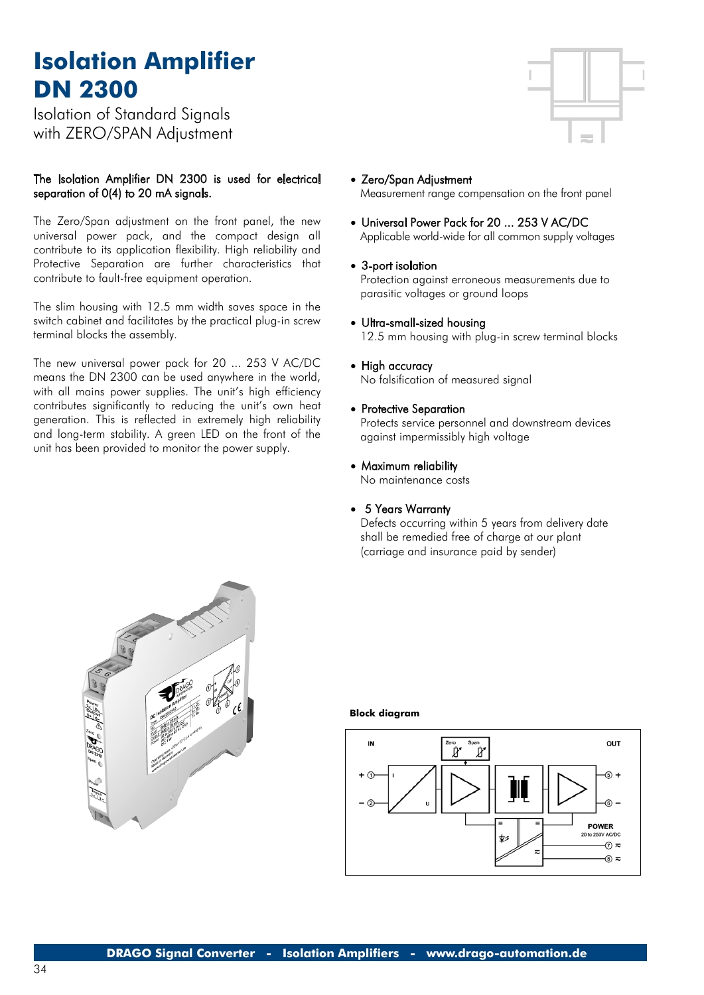# **Isolation Amplifier DN 2300**

Isolation of Standard Signals with ZERO/SPAN Adjustment

## The Isolation Amplifier DN 2300 is used for electrical separation of 0(4) to 20 mA signals.

The Zero/Span adjustment on the front panel, the new universal power pack, and the compact design all contribute to its application flexibility. High reliability and Protective Separation are further characteristics that contribute to fault-free equipment operation.

The slim housing with 12.5 mm width saves space in the switch cabinet and facilitates by the practical plug-in screw terminal blocks the assembly.

The new universal power pack for 20 ... 253 V AC/DC means the DN 2300 can be used anywhere in the world, with all mains power supplies. The unit's high efficiency contributes significantly to reducing the unit's own heat generation. This is reflected in extremely high reliability and long-term stability. A green LED on the front of the unit has been provided to monitor the power supply.

- 
- Zero/Span Adjustment Measurement range compensation on the front panel
- Universal Power Pack for 20 ... 253 V AC/DC Applicable world-wide for all common supply voltages
- 3-port isolation

Protection against erroneous measurements due to parasitic voltages or ground loops

• Ultra-small-sized housing

12.5 mm housing with plug-in screw terminal blocks

- High accuracy No falsification of measured signal
- Protective Separation Protects service personnel and downstream devices against impermissibly high voltage
- Maximum reliability

No maintenance costs

• 5 Years Warranty

Defects occurring within 5 years from delivery date shall be remedied free of charge at our plant (carriage and insurance paid by sender)



#### **Block diagram**